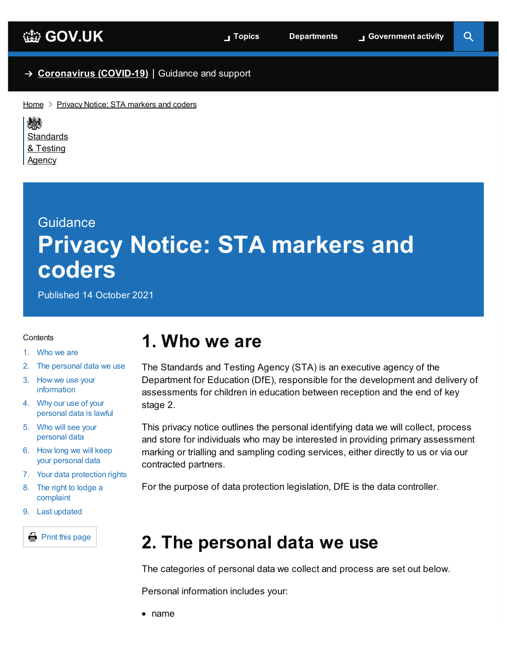$\overline{Q}$ 

### → **[Coronavirus](https://www.gov.uk/coronavirus) (COVID-19)** Guidance and support

 $Home$   $\geq$  Privacy Notice: STA [markers](https://www.gov.uk/government/publications/privacy-notice-sta-markers-and-coders) and coders

嫌 **[Standards](https://www.gov.uk/government/organisations/standards-and-testing-agency)** & Testing Agency

# **Guidance Privacy Notice: STA markers and coders**

Published 14 October 2021

#### <span id="page-0-2"></span>**Contents**

- 1. [Who](#page-0-0) we are
- 2. The [personal](#page-0-1) data we use
- 3. How we use your [information](#page-1-0)
- 4. Why our use of your [personal](#page-1-1) data is lawful
- 5. Who will see your [personal](#page-2-0) data
- 6. How long we will keep your [personal](#page-2-1) data
- 7. Your data [protection](#page-2-2) rights
- 8. The right to lodge a [complaint](#page-3-0)
- 9. Last [updated](#page-3-1)

**Print this page** 

## <span id="page-0-0"></span>**1. Who we are**

The Standards and Testing Agency (STA) is an executive agency of the Department for Education (DfE), responsible for the development and delivery of assessments for children in education between reception and the end of key stage 2.

This privacy notice outlines the personal identifying data we will collect, process and store for individuals who may be interested in providing primary assessment marking or trialling and sampling coding services, either directly to us or via our contracted partners.

For the purpose of data protection legislation, DfE is the data controller.

## <span id="page-0-1"></span>**2. The personal data we use**

The categories of personal data we collect and process are set out below.

Personal information includes your:

• name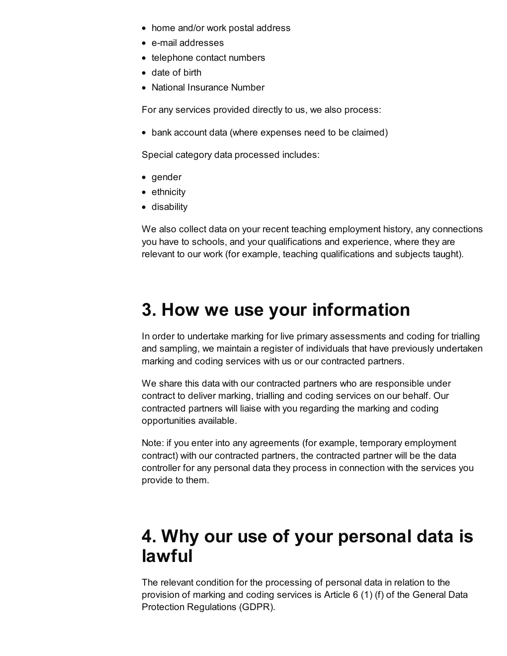- home and/or work postal address
- e-mail addresses
- telephone contact numbers
- date of birth
- National Insurance Number

For any services provided directly to us, we also process:

bank account data (where expenses need to be claimed)

Special category data processed includes:

- gender
- ethnicity
- disability

We also collect data on your recent teaching employment history, any connections you have to schools, and your qualifications and experience, where they are relevant to our work (for example, teaching qualifications and subjects taught).

## <span id="page-1-0"></span>**3. How we use your information**

In order to undertake marking for live primary assessments and coding for trialling and sampling, we maintain a register of individuals that have previously undertaken marking and coding services with us or our contracted partners.

We share this data with our contracted partners who are responsible under contract to deliver marking, trialling and coding services on our behalf. Our contracted partners will liaise with you regarding the marking and coding opportunities available.

Note: if you enter into any agreements (for example, temporary employment contract) with our contracted partners, the contracted partner will be the data controller for any personal data they process in connection with the services you provide to them.

## <span id="page-1-1"></span>**4. Why our use of your personal data is lawful**

The relevant condition for the processing of personal data in relation to the provision of marking and coding services is Article 6 (1) (f) of the General Data Protection Regulations (GDPR).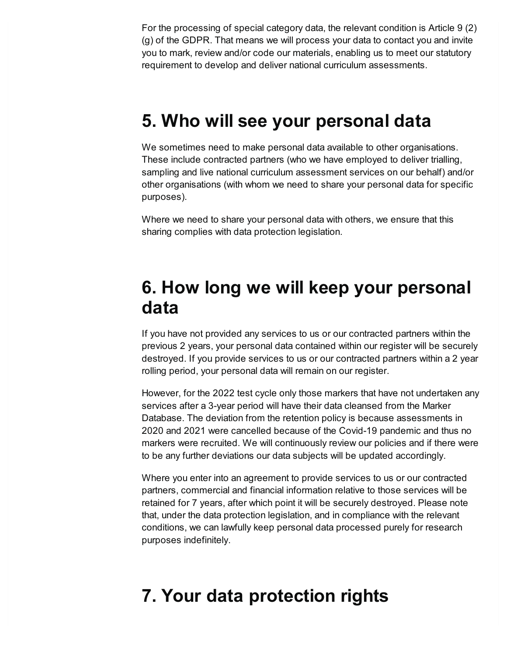For the processing of special category data, the relevant condition is Article 9 (2) (g) of the GDPR. That means we will process your data to contact you and invite you to mark, review and/or code our materials, enabling us to meet our statutory requirement to develop and deliver national curriculum assessments.

## <span id="page-2-0"></span>**5. Who will see your personal data**

We sometimes need to make personal data available to other organisations. These include contracted partners (who we have employed to deliver trialling, sampling and live national curriculum assessment services on our behalf) and/or other organisations (with whom we need to share your personal data for specific purposes).

Where we need to share your personal data with others, we ensure that this sharing complies with data protection legislation.

## <span id="page-2-1"></span>**6. How long we will keep your personal data**

If you have not provided any services to us or our contracted partners within the previous 2 years, your personal data contained within our register will be securely destroyed. If you provide services to us or our contracted partners within a 2 year rolling period, your personal data will remain on our register.

However, for the 2022 test cycle only those markers that have not undertaken any services after a 3-year period will have their data cleansed from the Marker Database. The deviation from the retention policy is because assessments in 2020 and 2021 were cancelled because of the Covid-19 pandemic and thus no markers were recruited. We will continuously review our policies and if there were to be any further deviations our data subjects will be updated accordingly.

Where you enter into an agreement to provide services to us or our contracted partners, commercial and financial information relative to those services will be retained for 7 years, after which point it will be securely destroyed. Please note that, under the data protection legislation, and in compliance with the relevant conditions, we can lawfully keep personal data processed purely for research purposes indefinitely.

# <span id="page-2-2"></span>**7. Your data protection rights**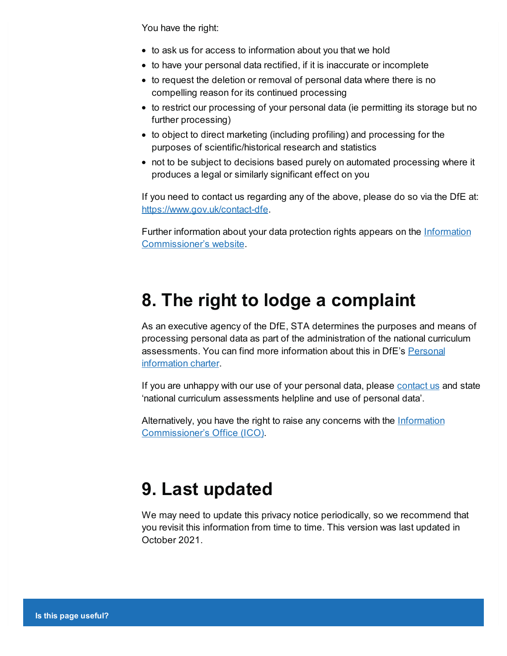You have the right:

- to ask us for access to information about you that we hold
- to have your personal data rectified, if it is inaccurate or incomplete
- to request the deletion or removal of personal data where there is no compelling reason for its continued processing
- to restrict our processing of your personal data (ie permitting its storage but no further processing)
- to object to direct marketing (including profiling) and processing for the purposes of scientific/historical research and statistics
- not to be subject to decisions based purely on automated processing where it produces a legal or similarly significant effect on you

If you need to contact us regarding any of the above, please do so via the DfE at: <https://www.gov.uk/contact-dfe>.

Further information about your data protection rights appears on the Information [Commissioner's](https://ico.org.uk/) website.

## <span id="page-3-0"></span>**8. The right to lodge a complaint**

As an executive agency of the DfE, STA determines the purposes and means of processing personal data as part of the administration of the national curriculum [assessments.](https://www.gov.uk/government/organisations/department-for-education/about/personal-information-charter) You can find more information about this in DfE's Personal information charter.

If you are unhappy with our use of your personal data, please [contact](https://www.gov.uk/contact-dfe) us and state 'national curriculum assessments helpline and use of personal data'.

Alternatively, you have the right to raise any concerns with the Information [Commissioner's](https://ico.org.uk/concerns/) Office (ICO).

# <span id="page-3-1"></span>**9. Last updated**

We may need to update this privacy notice periodically, so we recommend that you revisit this information from time to time. This version was last updated in October 2021.